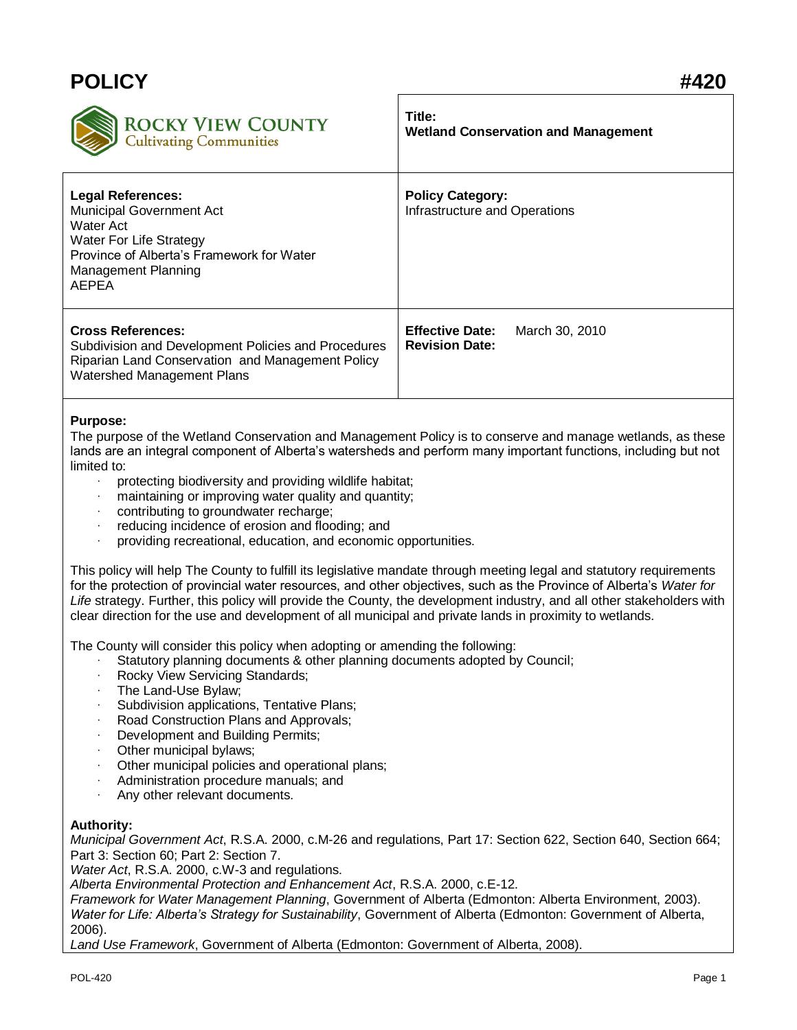# **POLICY #420**



#### **Purpose:**

The purpose of the Wetland Conservation and Management Policy is to conserve and manage wetlands, as these lands are an integral component of Alberta's watersheds and perform many important functions, including but not limited to:

- · protecting biodiversity and providing wildlife habitat;
- maintaining or improving water quality and quantity;
- contributing to groundwater recharge:
- reducing incidence of erosion and flooding; and
- providing recreational, education, and economic opportunities.

This policy will help The County to fulfill its legislative mandate through meeting legal and statutory requirements for the protection of provincial water resources, and other objectives, such as the Province of Alberta's *Water for Life* strategy. Further, this policy will provide the County, the development industry, and all other stakeholders with clear direction for the use and development of all municipal and private lands in proximity to wetlands.

The County will consider this policy when adopting or amending the following:

- Statutory planning documents & other planning documents adopted by Council;
- Rocky View Servicing Standards;
- The Land-Use Bylaw:
- Subdivision applications, Tentative Plans;
- · Road Construction Plans and Approvals;
- Development and Building Permits;
- Other municipal bylaws;
- Other municipal policies and operational plans;
- Administration procedure manuals; and
- Any other relevant documents.

### **Authority:**

*Municipal Government Act*, R.S.A. 2000, c.M-26 and regulations, Part 17: Section 622, Section 640, Section 664; Part 3: Section 60; Part 2: Section 7.

*Water Act*, R.S.A. 2000, c.W-3 and regulations.

*Alberta Environmental Protection and Enhancement Act*, R.S.A. 2000, c.E-12.

*Framework for Water Management Planning*, Government of Alberta (Edmonton: Alberta Environment, 2003). *Water for Life: Alberta's Strategy for Sustainability*, Government of Alberta (Edmonton: Government of Alberta, 2006).

*Land Use Framework*, Government of Alberta (Edmonton: Government of Alberta, 2008).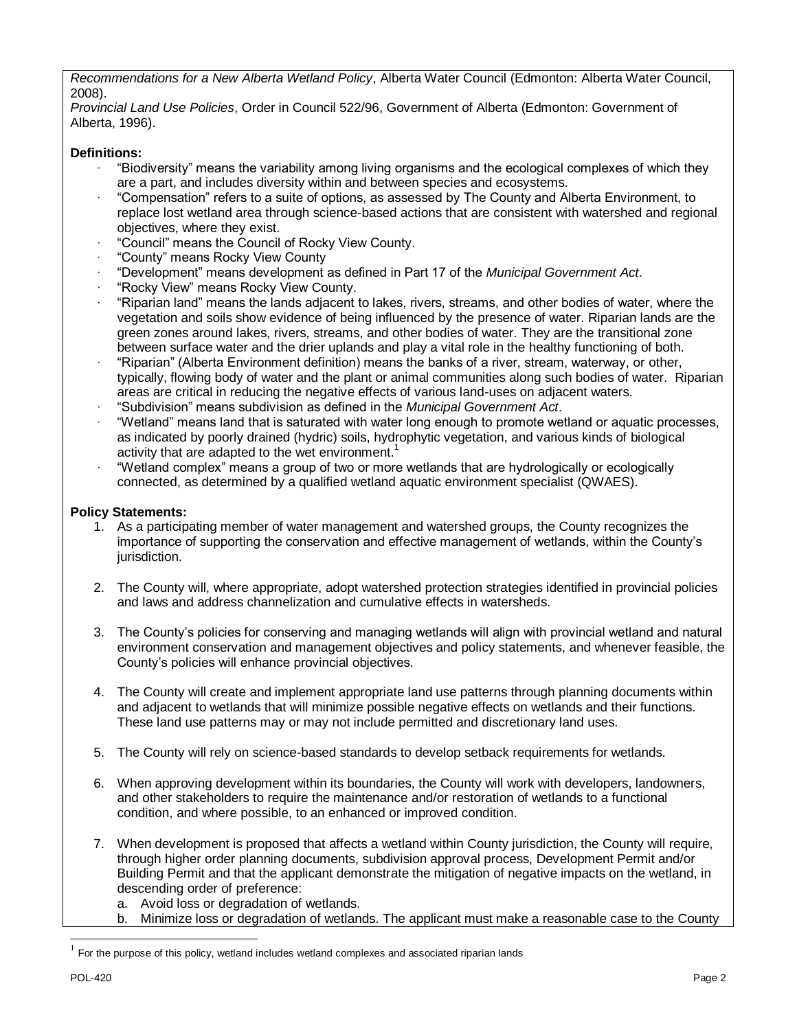*Recommendations for a New Alberta Wetland Policy*, Alberta Water Council (Edmonton: Alberta Water Council, 2008).

*Provincial Land Use Policies*, Order in Council 522/96, Government of Alberta (Edmonton: Government of Alberta, 1996).

## **Definitions:**

- · "Biodiversity" means the variability among living organisms and the ecological complexes of which they are a part, and includes diversity within and between species and ecosystems.
- · "Compensation" refers to a suite of options, as assessed by The County and Alberta Environment, to replace lost wetland area through science-based actions that are consistent with watershed and regional objectives, where they exist.
- · "Council" means the Council of Rocky View County.
- · "County" means Rocky View County
- · "Development" means development as defined in Part 17 of the *Municipal Government Act*.
- · "Rocky View" means Rocky View County.
- · "Riparian land" means the lands adjacent to lakes, rivers, streams, and other bodies of water, where the vegetation and soils show evidence of being influenced by the presence of water. Riparian lands are the green zones around lakes, rivers, streams, and other bodies of water. They are the transitional zone between surface water and the drier uplands and play a vital role in the healthy functioning of both.
- · "Riparian" (Alberta Environment definition) means the banks of a river, stream, waterway, or other, typically, flowing body of water and the plant or animal communities along such bodies of water. Riparian areas are critical in reducing the negative effects of various land-uses on adjacent waters.
- · "Subdivision" means subdivision as defined in the *Municipal Government Act*.
- · "Wetland" means land that is saturated with water long enough to promote wetland or aquatic processes, as indicated by poorly drained (hydric) soils, hydrophytic vegetation, and various kinds of biological activity that are adapted to the wet environment.<sup>1</sup>
- · "Wetland complex" means a group of two or more wetlands that are hydrologically or ecologically connected, as determined by a qualified wetland aquatic environment specialist (QWAES).

### **Policy Statements:**

- 1. As a participating member of water management and watershed groups, the County recognizes the importance of supporting the conservation and effective management of wetlands, within the County's jurisdiction.
- 2. The County will, where appropriate, adopt watershed protection strategies identified in provincial policies and laws and address channelization and cumulative effects in watersheds.
- 3. The County's policies for conserving and managing wetlands will align with provincial wetland and natural environment conservation and management objectives and policy statements, and whenever feasible, the County's policies will enhance provincial objectives.
- 4. The County will create and implement appropriate land use patterns through planning documents within and adjacent to wetlands that will minimize possible negative effects on wetlands and their functions. These land use patterns may or may not include permitted and discretionary land uses.
- 5. The County will rely on science-based standards to develop setback requirements for wetlands.
- 6. When approving development within its boundaries, the County will work with developers, landowners, and other stakeholders to require the maintenance and/or restoration of wetlands to a functional condition, and where possible, to an enhanced or improved condition.
- 7. When development is proposed that affects a wetland within County jurisdiction, the County will require, through higher order planning documents, subdivision approval process, Development Permit and/or Building Permit and that the applicant demonstrate the mitigation of negative impacts on the wetland, in descending order of preference:
	- a. Avoid loss or degradation of wetlands.
	- b. Minimize loss or degradation of wetlands. The applicant must make a reasonable case to the County

l

<sup>1</sup> For the purpose of this policy, wetland includes wetland complexes and associated riparian lands